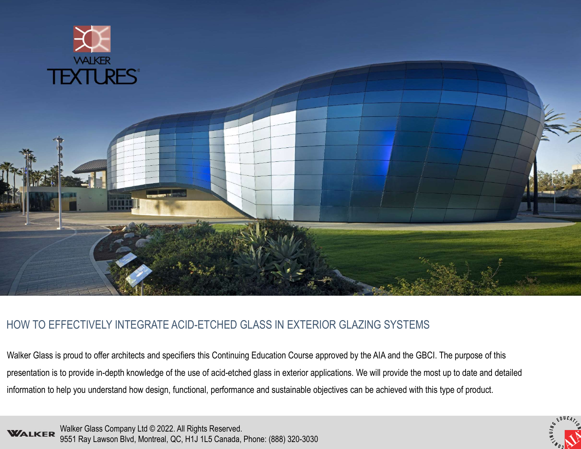

# HOW TO EFFECTIVELY INTEGRATE ACID-ETCHED GLASS IN EXTERIOR GLAZING SYSTEMS

Walker Glass is proud to offer architects and specifiers this Continuing Education Course approved by the AIA and the GBCI. The purpose of this presentation is to provide in-depth knowledge of the use of acid-etched glass in exterior applications. We will provide the most up to date and detailed information to help you understand how design, functional, performance and sustainable objectives can be achieved with this type of product.